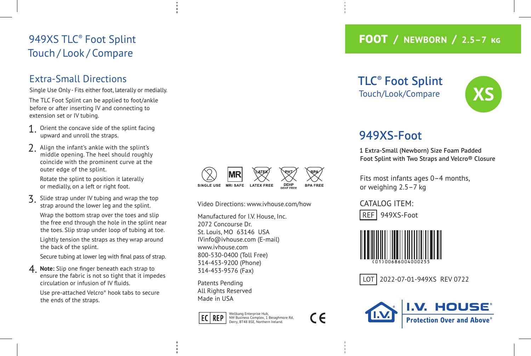### 949XS TLC ® Foot Splint Touch / Look / Compare

#### Extra-Small Directions

Single Use Only - Fits either foot, laterally or medially. The TLC Foot Splint can be applied to foot/ankle before or after inserting IV and connecting to extension set or IV tubing.

- Orient the concave side of the splint facing upward and unroll the straps.
- 2. Align the infant's ankle with the splint's middle opening. The heel should roughly coincide with the prominent curve at the outer edge of the splint.

Rotate the splint to position it laterally or medially, on a left or right foot.

Slide strap under IV tubing and wrap the top strap around the lower leg and the splint. Wrap the bottom strap over the toes and slip the free end through the hole in the splint near the toes. Slip strap under loop of tubing at toe. Lightly tension the straps as they wrap around the back of the splint.

Secure tubing at lower leg with final pass of strap.

4. **Note:** Slip one finger beneath each strap to ensure the fabric is not so tight that it impedes circulation or infusion of IV fluids.

Use pre-attached Velcro ® hook tabs to secure the ends of the straps.



Video Directions: www.ivhouse.com/how

Manufactured for I.V. House, Inc. 2072 Concourse Dr. St. Louis, MO 63146 USA IVinfo@ivhouse.com (E-mail) www.ivhouse.com 800-530-0400 (Toll Free) 314-453-9200 (Phone) 314-453-9576 (Fax)

Patents Pending All Rights Reserved Made in USA



C E

#### **FOOT / NEWBORN / 2.5–7**

TLC ® Foot Splint Touch/Look/Compare



## 949XS-Foot

1 Extra-Small (Newborn) Size Foam Padded Foot Splint with Two Straps and Velcro® Closure

Fits most infants ages 0–4 months, or weighing 2.5–7 kg

CATALOG ITEM: REF 949XS-Foot



LOT | 2022-07-01-949XS REV 0722